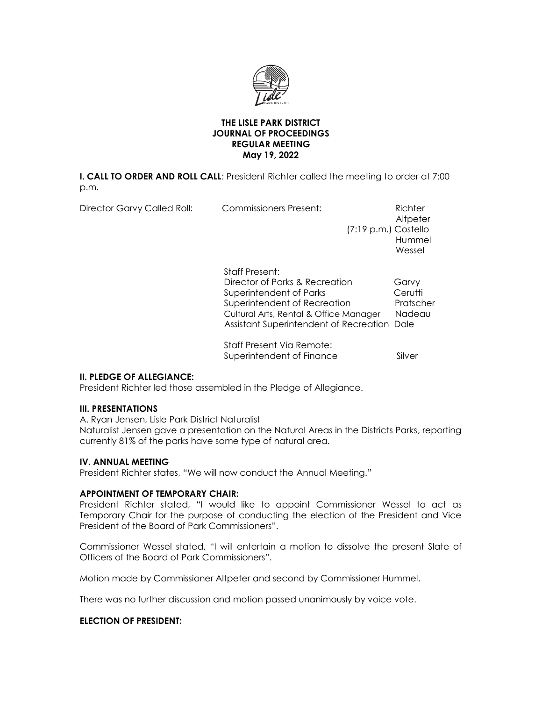

# **THE LISLE PARK DISTRICT JOURNAL OF PROCEEDINGS REGULAR MEETING May 19, 2022**

**I. CALL TO ORDER AND ROLL CALL**: President Richter called the meeting to order at 7:00 p.m.

| <b>Director Garvy Called Roll:</b> | <b>Commissioners Present:</b><br>$(7:19 \text{ p.m.})$ Costello                                                                                                                                             | Richter<br>Altpeter<br>Hummel<br>Wessel |
|------------------------------------|-------------------------------------------------------------------------------------------------------------------------------------------------------------------------------------------------------------|-----------------------------------------|
|                                    | <b>Staff Present:</b><br>Director of Parks & Recreation<br>Superintendent of Parks<br>Superintendent of Recreation<br>Cultural Arts, Rental & Office Manager<br>Assistant Superintendent of Recreation Dale | Garvy<br>Cerutti<br>Pratscher<br>Nadeau |
|                                    | Staff Present Via Remote:<br>Superintendent of Finance                                                                                                                                                      | Silver                                  |

# **II. PLEDGE OF ALLEGIANCE:**

President Richter led those assembled in the Pledge of Allegiance.

### **III. PRESENTATIONS**

A. Ryan Jensen, Lisle Park District Naturalist Naturalist Jensen gave a presentation on the Natural Areas in the Districts Parks, reporting currently 81% of the parks have some type of natural area.

### **IV. ANNUAL MEETING**

President Richter states, "We will now conduct the Annual Meeting."

### **APPOINTMENT OF TEMPORARY CHAIR:**

President Richter stated, "I would like to appoint Commissioner Wessel to act as Temporary Chair for the purpose of conducting the election of the President and Vice President of the Board of Park Commissioners".

Commissioner Wessel stated, "I will entertain a motion to dissolve the present Slate of Officers of the Board of Park Commissioners".

Motion made by Commissioner Altpeter and second by Commissioner Hummel.

There was no further discussion and motion passed unanimously by voice vote.

# **ELECTION OF PRESIDENT:**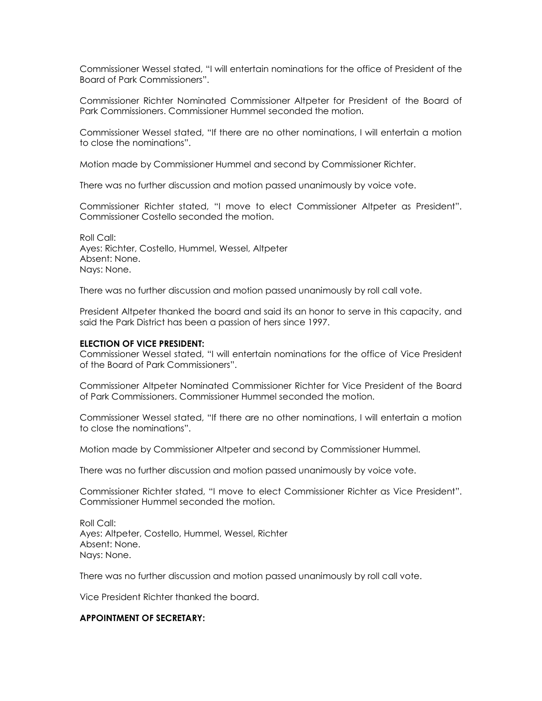Commissioner Wessel stated, "I will entertain nominations for the office of President of the Board of Park Commissioners".

Commissioner Richter Nominated Commissioner Altpeter for President of the Board of Park Commissioners. Commissioner Hummel seconded the motion.

Commissioner Wessel stated, "If there are no other nominations, I will entertain a motion to close the nominations".

Motion made by Commissioner Hummel and second by Commissioner Richter.

There was no further discussion and motion passed unanimously by voice vote.

Commissioner Richter stated, "I move to elect Commissioner Altpeter as President". Commissioner Costello seconded the motion.

Roll Call: Ayes: Richter, Costello, Hummel, Wessel, Altpeter Absent: None. Nays: None.

There was no further discussion and motion passed unanimously by roll call vote.

President Altpeter thanked the board and said its an honor to serve in this capacity, and said the Park District has been a passion of hers since 1997.

#### **ELECTION OF VICE PRESIDENT:**

Commissioner Wessel stated, "I will entertain nominations for the office of Vice President of the Board of Park Commissioners".

Commissioner Altpeter Nominated Commissioner Richter for Vice President of the Board of Park Commissioners. Commissioner Hummel seconded the motion.

Commissioner Wessel stated, "If there are no other nominations, I will entertain a motion to close the nominations".

Motion made by Commissioner Altpeter and second by Commissioner Hummel.

There was no further discussion and motion passed unanimously by voice vote.

Commissioner Richter stated, "I move to elect Commissioner Richter as Vice President". Commissioner Hummel seconded the motion.

Roll Call: Ayes: Altpeter, Costello, Hummel, Wessel, Richter Absent: None. Nays: None.

There was no further discussion and motion passed unanimously by roll call vote.

Vice President Richter thanked the board.

# **APPOINTMENT OF SECRETARY:**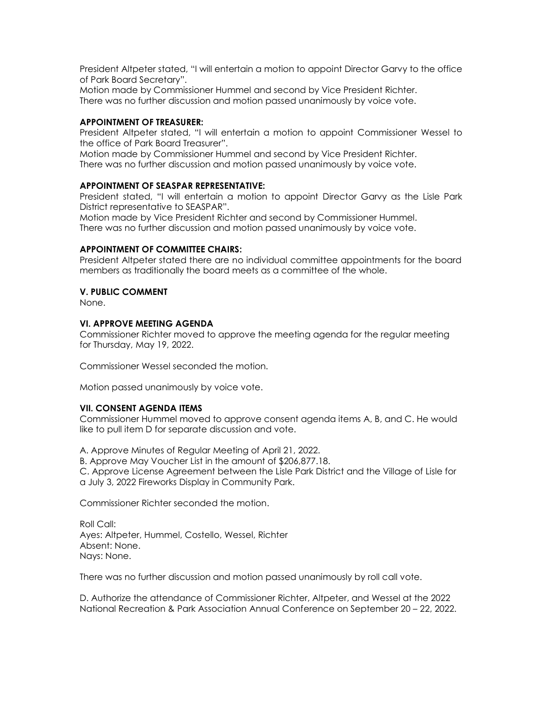President Altpeter stated, "I will entertain a motion to appoint Director Garvy to the office of Park Board Secretary".

Motion made by Commissioner Hummel and second by Vice President Richter. There was no further discussion and motion passed unanimously by voice vote.

# **APPOINTMENT OF TREASURER:**

President Altpeter stated, "I will entertain a motion to appoint Commissioner Wessel to the office of Park Board Treasurer".

Motion made by Commissioner Hummel and second by Vice President Richter.

There was no further discussion and motion passed unanimously by voice vote.

# **APPOINTMENT OF SEASPAR REPRESENTATIVE:**

President stated, "I will entertain a motion to appoint Director Garvy as the Lisle Park District representative to SEASPAR".

Motion made by Vice President Richter and second by Commissioner Hummel. There was no further discussion and motion passed unanimously by voice vote.

# **APPOINTMENT OF COMMITTEE CHAIRS:**

President Altpeter stated there are no individual committee appointments for the board members as traditionally the board meets as a committee of the whole.

# **V. PUBLIC COMMENT**

None.

# **VI. APPROVE MEETING AGENDA**

Commissioner Richter moved to approve the meeting agenda for the regular meeting for Thursday, May 19, 2022.

Commissioner Wessel seconded the motion.

Motion passed unanimously by voice vote.

# **VII. CONSENT AGENDA ITEMS**

Commissioner Hummel moved to approve consent agenda items A, B, and C. He would like to pull item D for separate discussion and vote.

A. Approve Minutes of Regular Meeting of April 21, 2022.

B. Approve May Voucher List in the amount of \$206,877.18.

C. Approve License Agreement between the Lisle Park District and the Village of Lisle for a July 3, 2022 Fireworks Display in Community Park.

Commissioner Richter seconded the motion.

Roll Call: Ayes: Altpeter, Hummel, Costello, Wessel, Richter Absent: None. Nays: None.

There was no further discussion and motion passed unanimously by roll call vote.

D. Authorize the attendance of Commissioner Richter, Altpeter, and Wessel at the 2022 National Recreation & Park Association Annual Conference on September 20 – 22, 2022.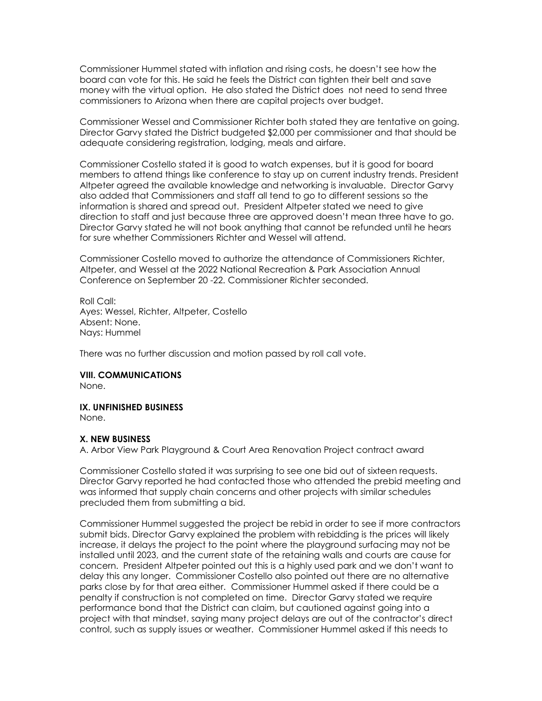Commissioner Hummel stated with inflation and rising costs, he doesn't see how the board can vote for this. He said he feels the District can tighten their belt and save money with the virtual option. He also stated the District does not need to send three commissioners to Arizona when there are capital projects over budget.

Commissioner Wessel and Commissioner Richter both stated they are tentative on going. Director Garvy stated the District budgeted \$2,000 per commissioner and that should be adequate considering registration, lodging, meals and airfare.

Commissioner Costello stated it is good to watch expenses, but it is good for board members to attend things like conference to stay up on current industry trends. President Altpeter agreed the available knowledge and networking is invaluable. Director Garvy also added that Commissioners and staff all tend to go to different sessions so the information is shared and spread out. President Altpeter stated we need to give direction to staff and just because three are approved doesn't mean three have to go. Director Garvy stated he will not book anything that cannot be refunded until he hears for sure whether Commissioners Richter and Wessel will attend.

Commissioner Costello moved to authorize the attendance of Commissioners Richter, Altpeter, and Wessel at the 2022 National Recreation & Park Association Annual Conference on September 20 -22. Commissioner Richter seconded.

Roll Call: Ayes: Wessel, Richter, Altpeter, Costello Absent: None. Nays: Hummel

There was no further discussion and motion passed by roll call vote.

# **VIII. COMMUNICATIONS**

None.

#### **IX. UNFINISHED BUSINESS**

None.

#### **X. NEW BUSINESS**

A. Arbor View Park Playground & Court Area Renovation Project contract award

Commissioner Costello stated it was surprising to see one bid out of sixteen requests. Director Garvy reported he had contacted those who attended the prebid meeting and was informed that supply chain concerns and other projects with similar schedules precluded them from submitting a bid.

Commissioner Hummel suggested the project be rebid in order to see if more contractors submit bids. Director Garvy explained the problem with rebidding is the prices will likely increase, it delays the project to the point where the playground surfacing may not be installed until 2023, and the current state of the retaining walls and courts are cause for concern. President Altpeter pointed out this is a highly used park and we don't want to delay this any longer. Commissioner Costello also pointed out there are no alternative parks close by for that area either. Commissioner Hummel asked if there could be a penalty if construction is not completed on time. Director Garvy stated we require performance bond that the District can claim, but cautioned against going into a project with that mindset, saying many project delays are out of the contractor's direct control, such as supply issues or weather. Commissioner Hummel asked if this needs to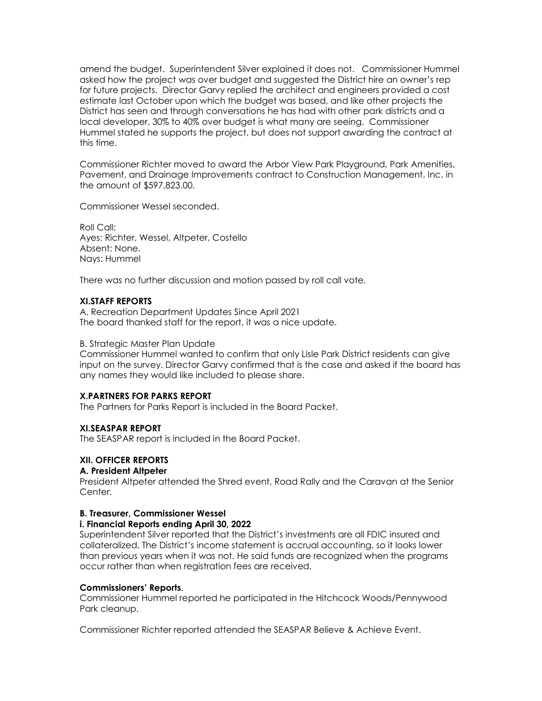amend the budget. Superintendent Silver explained it does not. Commissioner Hummel asked how the project was over budget and suggested the District hire an owner's rep for future projects. Director Garvy replied the architect and engineers provided a cost estimate last October upon which the budget was based, and like other projects the District has seen and through conversations he has had with other park districts and a local developer, 30% to 40% over budget is what many are seeing. Commissioner Hummel stated he supports the project, but does not support awarding the contract at this time.

Commissioner Richter moved to award the Arbor View Park Playground, Park Amenities, Pavement, and Drainage Improvements contract to Construction Management, Inc. in the amount of \$597,823.00.

Commissioner Wessel seconded.

Roll Call: Ayes: Richter, Wessel, Altpeter, Costello Absent: None. Nays: Hummel

There was no further discussion and motion passed by roll call vote.

# **XI.STAFF REPORTS**

A. Recreation Department Updates Since April 2021 The board thanked staff for the report, it was a nice update.

### B. Strategic Master Plan Update

Commissioner Hummel wanted to confirm that only Lisle Park District residents can give input on the survey. Director Garvy confirmed that is the case and asked if the board has any names they would like included to please share.

# **X.PARTNERS FOR PARKS REPORT**

The Partners for Parks Report is included in the Board Packet.

### **XI.SEASPAR REPORT**

The SEASPAR report is included in the Board Packet.

# **XII. OFFICER REPORTS**

### **A. President Altpeter**

President Altpeter attended the Shred event, Road Rally and the Caravan at the Senior Center.

# **B. Treasurer, Commissioner Wessel**

### **i. Financial Reports ending April 30, 2022**

Superintendent Silver reported that the District's investments are all FDIC insured and collateralized. The District's income statement is accrual accounting, so it looks lower than previous years when it was not. He said funds are recognized when the programs occur rather than when registration fees are received.

### **Commissioners' Reports**.

Commissioner Hummel reported he participated in the Hitchcock Woods/Pennywood Park cleanup.

Commissioner Richter reported attended the SEASPAR Believe & Achieve Event.